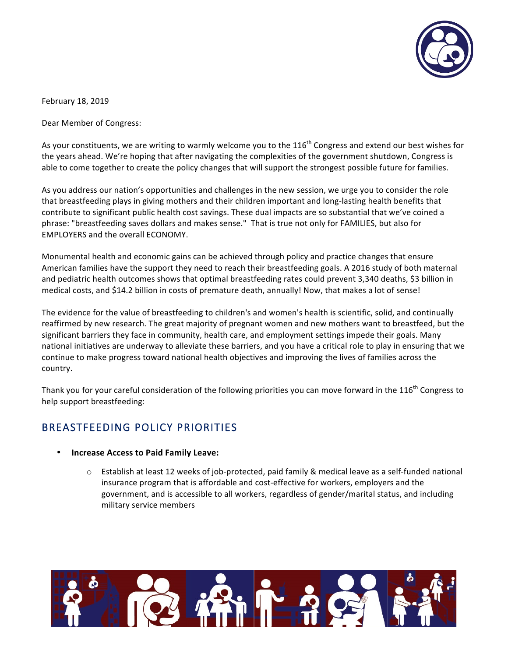

February 18, 2019

Dear Member of Congress:

As your constituents, we are writing to warmly welcome you to the  $116^{th}$  Congress and extend our best wishes for the years ahead. We're hoping that after navigating the complexities of the government shutdown, Congress is able to come together to create the policy changes that will support the strongest possible future for families.

As you address our nation's opportunities and challenges in the new session, we urge you to consider the role that breastfeeding plays in giving mothers and their children important and long-lasting health benefits that contribute to significant public health cost savings. These dual impacts are so substantial that we've coined a phrase: "breastfeeding saves dollars and makes sense." That is true not only for FAMILIES, but also for EMPLOYERS and the overall ECONOMY.

Monumental health and economic gains can be achieved through policy and practice changes that ensure American families have the support they need to reach their breastfeeding goals. A 2016 study of both maternal and pediatric health outcomes shows that optimal breastfeeding rates could prevent 3,340 deaths, \$3 billion in medical costs, and \$14.2 billion in costs of premature death, annually! Now, that makes a lot of sense!

The evidence for the value of breastfeeding to children's and women's health is scientific, solid, and continually reaffirmed by new research. The great majority of pregnant women and new mothers want to breastfeed, but the significant barriers they face in community, health care, and employment settings impede their goals. Many national initiatives are underway to alleviate these barriers, and you have a critical role to play in ensuring that we continue to make progress toward national health objectives and improving the lives of families across the country.

Thank you for your careful consideration of the following priorities you can move forward in the 116<sup>th</sup> Congress to help support breastfeeding:

# BREASTFEEDING POLICY PRIORITIES

- **Increase Access to Paid Family Leave:** 
	- $\circ$  Establish at least 12 weeks of job-protected, paid family & medical leave as a self-funded national insurance program that is affordable and cost-effective for workers, employers and the government, and is accessible to all workers, regardless of gender/marital status, and including military service members

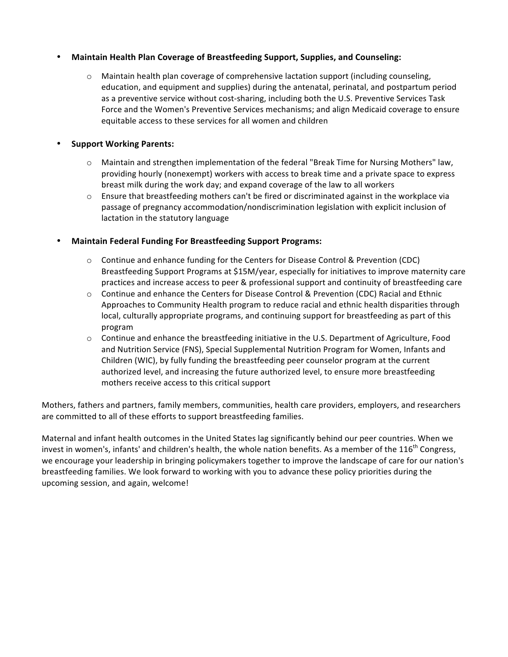## • **Maintain Health Plan Coverage of Breastfeeding Support, Supplies, and Counseling:**

 $\circ$  Maintain health plan coverage of comprehensive lactation support (including counseling, education, and equipment and supplies) during the antenatal, perinatal, and postpartum period as a preventive service without cost-sharing, including both the U.S. Preventive Services Task Force and the Women's Preventive Services mechanisms; and align Medicaid coverage to ensure equitable access to these services for all women and children

## • **Support Working Parents:**

- $\circ$  Maintain and strengthen implementation of the federal "Break Time for Nursing Mothers" law, providing hourly (nonexempt) workers with access to break time and a private space to express breast milk during the work day; and expand coverage of the law to all workers
- $\circ$  Ensure that breastfeeding mothers can't be fired or discriminated against in the workplace via passage of pregnancy accommodation/nondiscrimination legislation with explicit inclusion of lactation in the statutory language

## **Maintain Federal Funding For Breastfeeding Support Programs:**

- $\circ$  Continue and enhance funding for the Centers for Disease Control & Prevention (CDC) Breastfeeding Support Programs at \$15M/year, especially for initiatives to improve maternity care practices and increase access to peer & professional support and continuity of breastfeeding care
- $\circ$  Continue and enhance the Centers for Disease Control & Prevention (CDC) Racial and Ethnic Approaches to Community Health program to reduce racial and ethnic health disparities through local, culturally appropriate programs, and continuing support for breastfeeding as part of this program
- $\circ$  Continue and enhance the breastfeeding initiative in the U.S. Department of Agriculture, Food and Nutrition Service (FNS), Special Supplemental Nutrition Program for Women, Infants and Children (WIC), by fully funding the breastfeeding peer counselor program at the current authorized level, and increasing the future authorized level, to ensure more breastfeeding mothers receive access to this critical support

Mothers, fathers and partners, family members, communities, health care providers, employers, and researchers are committed to all of these efforts to support breastfeeding families.

Maternal and infant health outcomes in the United States lag significantly behind our peer countries. When we invest in women's, infants' and children's health, the whole nation benefits. As a member of the 116<sup>th</sup> Congress, we encourage your leadership in bringing policymakers together to improve the landscape of care for our nation's breastfeeding families. We look forward to working with you to advance these policy priorities during the upcoming session, and again, welcome!